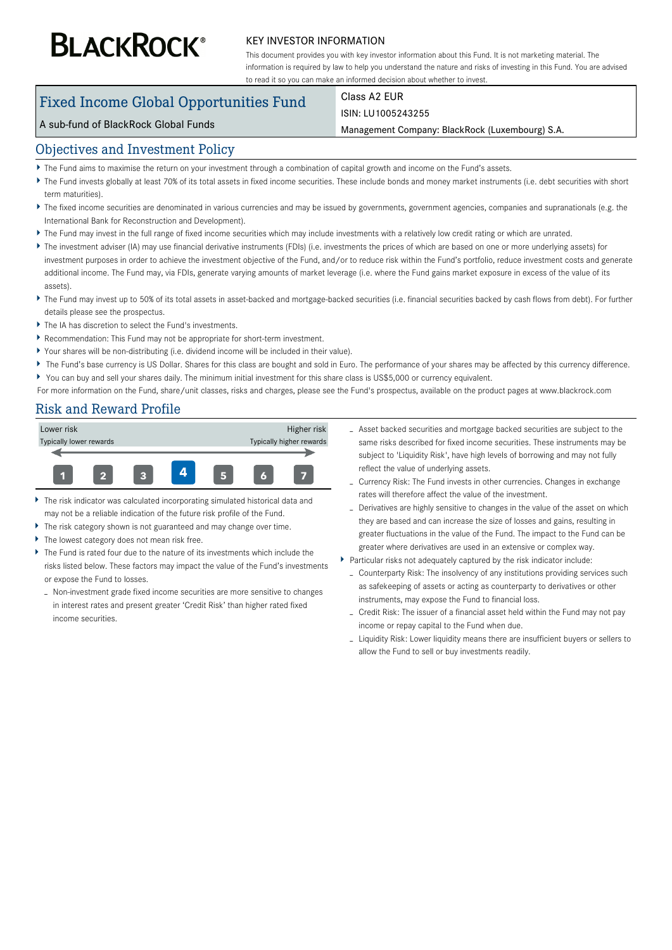# **BLACKROCK®**

#### KEY INVESTOR INFORMATION

This document provides you with key investor information about this Fund. It is not marketing material. The information is required by law to help you understand the nature and risks of investing in this Fund. You are advised to read it so you can make an informed decision about whether to invest.

# Fixed Income Global Opportunities Fund

#### Class A2 EUR ISIN: LU1005243255

#### A sub-fund of BlackRock Global Funds

Management Company: BlackRock (Luxembourg) S.A.

#### Objectives and Investment Policy

- The Fund aims to maximise the return on your investment through a combination of capital growth and income on the Fund's assets.
- ▶ The Fund invests globally at least 70% of its total assets in fixed income securities. These include bonds and money market instruments (i.e. debt securities with short term maturities).
- ▶ The fixed income securities are denominated in various currencies and may be issued by governments, government agencies, companies and supranationals (e.g. the International Bank for Reconstruction and Development).
- The Fund may invest in the full range of fixed income securities which may include investments with a relatively low credit rating or which are unrated.
- ▶ The investment adviser (IA) may use financial derivative instruments (FDIs) (i.e. investments the prices of which are based on one or more underlying assets) for investment purposes in order to achieve the investment objective of the Fund, and/or to reduce risk within the Fund's portfolio, reduce investment costs and generate additional income. The Fund may, via FDIs, generate varying amounts of market leverage (i.e. where the Fund gains market exposure in excess of the value of its assets).
- ▶ The Fund may invest up to 50% of its total assets in asset-backed and mortgage-backed securities (i.e. financial securities backed by cash flows from debt). For further details please see the prospectus.
- The IA has discretion to select the Fund's investments.
- Recommendation: This Fund may not be appropriate for short-term investment.
- Your shares will be non-distributing (i.e. dividend income will be included in their value).
- ▶ The Fund's base currency is US Dollar. Shares for this class are bought and sold in Euro. The performance of your shares may be affected by this currency difference. You can buy and sell your shares daily. The minimum initial investment for this share class is US\$5,000 or currency equivalent.

For more information on the Fund, share/unit classes, risks and charges, please see the Fund's prospectus, available on the product pages at www.blackrock.com

# Risk and Reward Profile



- The risk indicator was calculated incorporating simulated historical data and may not be a reliable indication of the future risk profile of the Fund.
- The risk category shown is not guaranteed and may change over time.
- Þ The lowest category does not mean risk free.
- Ы The Fund is rated four due to the nature of its investments which include the risks listed below. These factors may impact the value of the Fund's investments or expose the Fund to losses.
- Non-investment grade fixed income securities are more sensitive to changes in interest rates and present greater 'Credit Risk' than higher rated fixed income securities.
- Asset backed securities and mortgage backed securities are subject to the same risks described for fixed income securities. These instruments may be subject to 'Liquidity Risk', have high levels of borrowing and may not fully reflect the value of underlying assets.
- Currency Risk: The Fund invests in other currencies. Changes in exchange rates will therefore affect the value of the investment.
- Derivatives are highly sensitive to changes in the value of the asset on which they are based and can increase the size of losses and gains, resulting in greater fluctuations in the value of the Fund. The impact to the Fund can be greater where derivatives are used in an extensive or complex way.
- Particular risks not adequately captured by the risk indicator include:
	- Counterparty Risk: The insolvency of any institutions providing services such as safekeeping of assets or acting as counterparty to derivatives or other instruments, may expose the Fund to financial loss.
	- Credit Risk: The issuer of a financial asset held within the Fund may not pay income or repay capital to the Fund when due.
	- Liquidity Risk: Lower liquidity means there are insufficient buyers or sellers to allow the Fund to sell or buy investments readily.